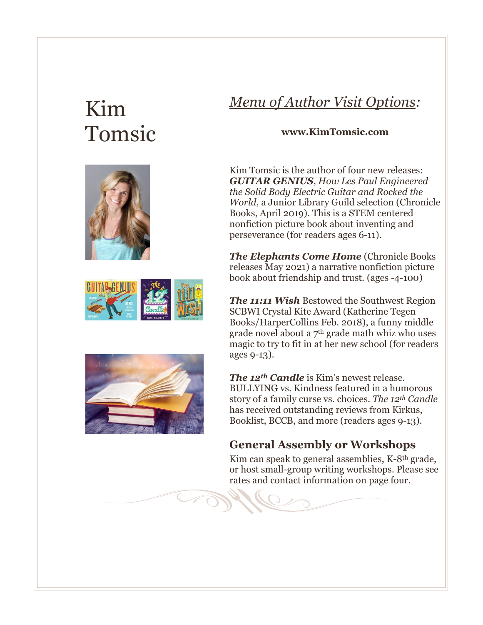# Kim Tomsic







## *Menu of Author Visit Options:*

#### **www.KimTomsic.com**

Kim Tomsic is the author of four new releases: *GUITAR GENIUS*, *How Les Paul Engineered the Solid Body Electric Guitar and Rocked the World,* a Junior Library Guild selection (Chronicle Books, April 2019). This is a STEM centered nonfiction picture book about inventing and perseverance (for readers ages 6-11).

*The Elephants Come Home* (Chronicle Books releases May 2021) a narrative nonfiction picture book about friendship and trust. (ages -4-100)

*The 11:11 Wish* Bestowed the Southwest Region SCBWI Crystal Kite Award (Katherine Tegen Books/HarperCollins Feb. 2018), a funny middle grade novel about a 7th grade math whiz who uses magic to try to fit in at her new school (for readers ages 9-13).

*The 12th Candle* is Kim's newest release. BULLYING vs. Kindness featured in a humorous story of a family curse vs. choices. *The 12th Candle* has received outstanding reviews from Kirkus, Booklist, BCCB, and more (readers ages 9-13).

## **General Assembly or Workshops**

Kim can speak to general assemblies, K-8th grade, or host small-group writing workshops. Please see rates and contact information on page four.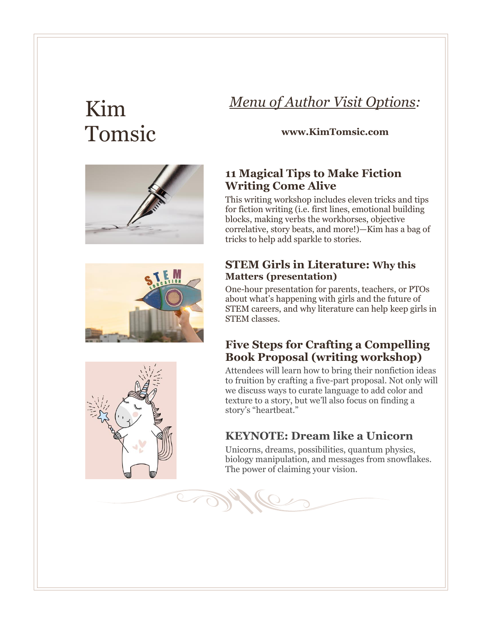# Kim Tomsic

# *Menu of Author Visit Options:*

#### **www.KimTomsic.com**



This writing workshop includes eleven tricks and tips for fiction writing (i.e. first lines, emotional building blocks, making verbs the workhorses, objective correlative, story beats, and more!)—Kim has a bag of tricks to help add sparkle to stories.

### **STEM Girls in Literature: Why this Matters (presentation)**

One-hour presentation for parents, teachers, or PTOs about what's happening with girls and the future of STEM careers, and why literature can help keep girls in STEM classes.

### **Five Steps for Crafting a Compelling Book Proposal (writing workshop)**

Attendees will learn how to bring their nonfiction ideas to fruition by crafting a five-part proposal. Not only will we discuss ways to curate language to add color and texture to a story, but we'll also focus on finding a story's "heartbeat."

## **KEYNOTE: Dream like a Unicorn**

Unicorns, dreams, possibilities, quantum physics, biology manipulation, and messages from snowflakes. The power of claiming your vision.







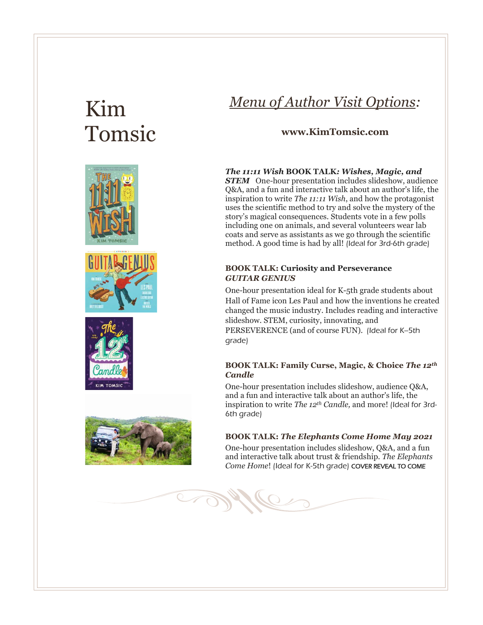# Kim Tomsic









## *Menu of Author Visit Options:*

#### **www.KimTomsic.com**

#### *The 11:11 Wish* **BOOK TALK***: Wishes, Magic, and*

**STEM** One-hour presentation includes slideshow, audience Q&A, and a fun and interactive talk about an author's life, the inspiration to write *The 11:11 Wish*, and how the protagonist uses the scientific method to try and solve the mystery of the story's magical consequences. Students vote in a few polls including one on animals, and several volunteers wear lab coats and serve as assistants as we go through the scientific method. A good time is had by all! (Ideal for 3rd-6th grade)

#### **BOOK TALK: Curiosity and Perseverance**  *GUITAR GENIUS*

One-hour presentation ideal for K-5th grade students about Hall of Fame icon Les Paul and how the inventions he created changed the music industry. Includes reading and interactive slideshow. STEM, curiosity, innovating, and PERSEVERENCE (and of course FUN). (Ideal for K-5th grade)

#### **BOOK TALK: Family Curse, Magic, & Choice** *The 12th Candle*

One-hour presentation includes slideshow, audience Q&A, and a fun and interactive talk about an author's life, the inspiration to write *The 12th Candle,* and more! (Ideal for 3rd-6th grade)

#### **BOOK TALK:** *The Elephants Come Home May 2021*

One-hour presentation includes slideshow, Q&A, and a fun and interactive talk about trust & friendship. *The Elephants Come Home*! (Ideal for K-5th grade) COVER REVEAL TO COME